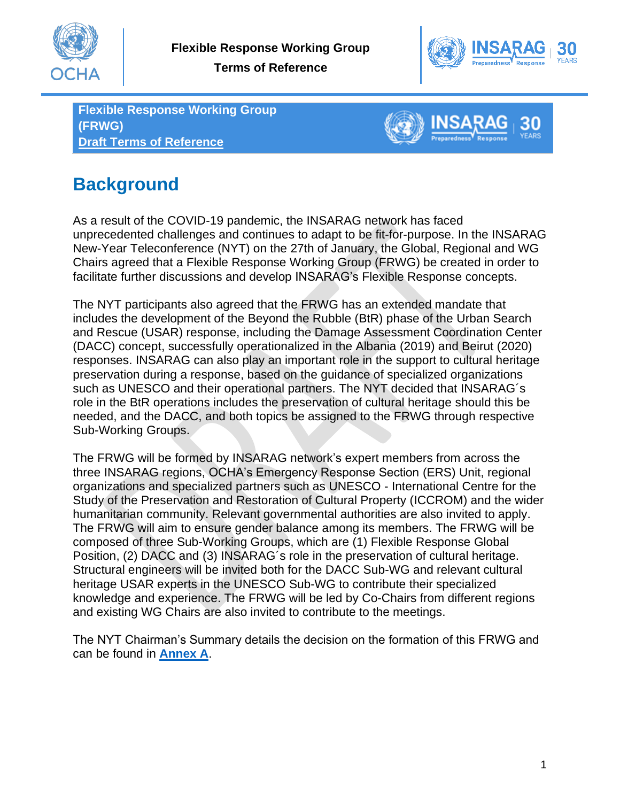

**Terms of Reference**



**Flexible Response Working Group (FRWG) Draft Terms of Reference**



# **Background**

As a result of the COVID-19 pandemic, the INSARAG network has faced unprecedented challenges and continues to adapt to be fit-for-purpose. In the INSARAG New-Year Teleconference (NYT) on the 27th of January, the Global, Regional and WG Chairs agreed that a Flexible Response Working Group (FRWG) be created in order to facilitate further discussions and develop INSARAG's Flexible Response concepts.

The NYT participants also agreed that the FRWG has an extended mandate that includes the development of the Beyond the Rubble (BtR) phase of the Urban Search and Rescue (USAR) response, including the Damage Assessment Coordination Center (DACC) concept, successfully operationalized in the Albania (2019) and Beirut (2020) responses. INSARAG can also play an important role in the support to cultural heritage preservation during a response, based on the guidance of specialized organizations such as UNESCO and their operational partners. The NYT decided that INSARAG´s role in the BtR operations includes the preservation of cultural heritage should this be needed, and the DACC, and both topics be assigned to the FRWG through respective Sub-Working Groups.

The FRWG will be formed by INSARAG network's expert members from across the three INSARAG regions, OCHA's Emergency Response Section (ERS) Unit, regional organizations and specialized partners such as UNESCO - International Centre for the Study of the Preservation and Restoration of Cultural Property (ICCROM) and the wider humanitarian community. Relevant governmental authorities are also invited to apply. The FRWG will aim to ensure gender balance among its members. The FRWG will be composed of three Sub-Working Groups, which are (1) Flexible Response Global Position, (2) DACC and (3) INSARAG´s role in the preservation of cultural heritage. Structural engineers will be invited both for the DACC Sub-WG and relevant cultural heritage USAR experts in the UNESCO Sub-WG to contribute their specialized knowledge and experience. The FRWG will be led by Co-Chairs from different regions and existing WG Chairs are also invited to contribute to the meetings.

The NYT Chairman's Summary details the decision on the formation of this FRWG and can be found in **[Annex A](http://portal.undac.org/pssuportal/portalrest/filesharing/download/public/yf19WMHNFa5Ogu3)**.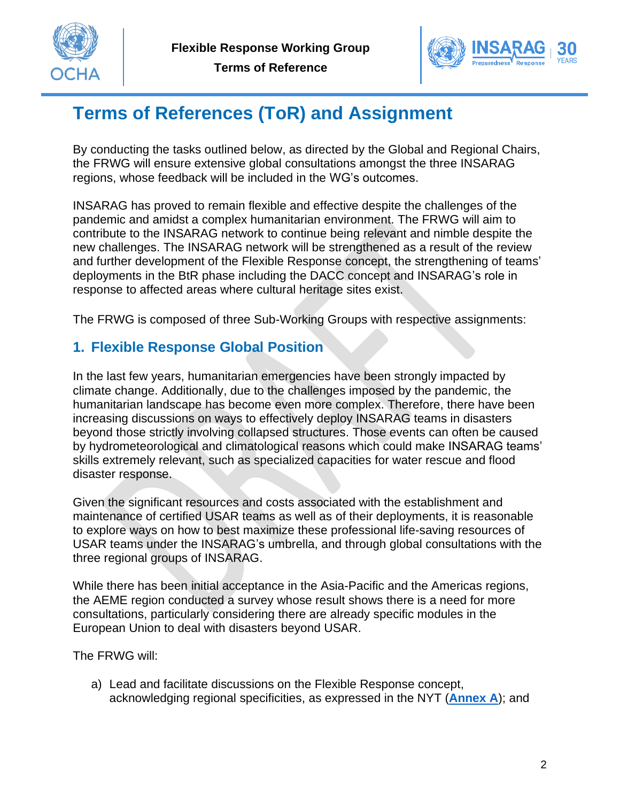

**Terms of Reference**



## **Terms of References (ToR) and Assignment**

By conducting the tasks outlined below, as directed by the Global and Regional Chairs, the FRWG will ensure extensive global consultations amongst the three INSARAG regions, whose feedback will be included in the WG's outcomes.

INSARAG has proved to remain flexible and effective despite the challenges of the pandemic and amidst a complex humanitarian environment. The FRWG will aim to contribute to the INSARAG network to continue being relevant and nimble despite the new challenges. The INSARAG network will be strengthened as a result of the review and further development of the Flexible Response concept, the strengthening of teams' deployments in the BtR phase including the DACC concept and INSARAG's role in response to affected areas where cultural heritage sites exist.

The FRWG is composed of three Sub-Working Groups with respective assignments:

#### **1. Flexible Response Global Position**

In the last few years, humanitarian emergencies have been strongly impacted by climate change. Additionally, due to the challenges imposed by the pandemic, the humanitarian landscape has become even more complex. Therefore, there have been increasing discussions on ways to effectively deploy INSARAG teams in disasters beyond those strictly involving collapsed structures. Those events can often be caused by hydrometeorological and climatological reasons which could make INSARAG teams' skills extremely relevant, such as specialized capacities for water rescue and flood disaster response.

Given the significant resources and costs associated with the establishment and maintenance of certified USAR teams as well as of their deployments, it is reasonable to explore ways on how to best maximize these professional life-saving resources of USAR teams under the INSARAG's umbrella, and through global consultations with the three regional groups of INSARAG.

While there has been initial acceptance in the Asia-Pacific and the Americas regions, the AEME region conducted a survey whose result shows there is a need for more consultations, particularly considering there are already specific modules in the European Union to deal with disasters beyond USAR.

The FRWG will:

a) Lead and facilitate discussions on the Flexible Response concept, acknowledging regional specificities, as expressed in the NYT (**[Annex A](http://portal.undac.org/pssuportal/portalrest/filesharing/download/public/yf19WMHNFa5Ogu3)**); and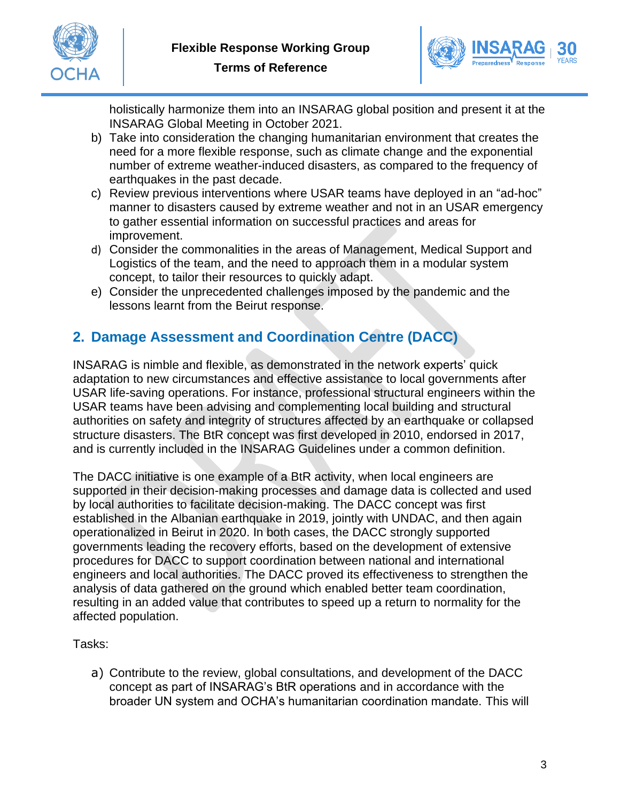



holistically harmonize them into an INSARAG global position and present it at the INSARAG Global Meeting in October 2021.

- b) Take into consideration the changing humanitarian environment that creates the need for a more flexible response, such as climate change and the exponential number of extreme weather-induced disasters, as compared to the frequency of earthquakes in the past decade.
- c) Review previous interventions where USAR teams have deployed in an "ad-hoc" manner to disasters caused by extreme weather and not in an USAR emergency to gather essential information on successful practices and areas for improvement.
- d) Consider the commonalities in the areas of Management, Medical Support and Logistics of the team, and the need to approach them in a modular system concept, to tailor their resources to quickly adapt.
- e) Consider the unprecedented challenges imposed by the pandemic and the lessons learnt from the Beirut response.

### **2. Damage Assessment and Coordination Centre (DACC)**

INSARAG is nimble and flexible, as demonstrated in the network experts' quick adaptation to new circumstances and effective assistance to local governments after USAR life-saving operations. For instance, professional structural engineers within the USAR teams have been advising and complementing local building and structural authorities on safety and integrity of structures affected by an earthquake or collapsed structure disasters. The BtR concept was first developed in 2010, endorsed in 2017, and is currently included in the INSARAG Guidelines under a common definition.

The DACC initiative is one example of a BtR activity, when local engineers are supported in their decision-making processes and damage data is collected and used by local authorities to facilitate decision-making. The DACC concept was first established in the Albanian earthquake in 2019, jointly with UNDAC, and then again operationalized in Beirut in 2020. In both cases, the DACC strongly supported governments leading the recovery efforts, based on the development of extensive procedures for DACC to support coordination between national and international engineers and local authorities. The DACC proved its effectiveness to strengthen the analysis of data gathered on the ground which enabled better team coordination, resulting in an added value that contributes to speed up a return to normality for the affected population.

Tasks:

a) Contribute to the review, global consultations, and development of the DACC concept as part of INSARAG's BtR operations and in accordance with the broader UN system and OCHA's humanitarian coordination mandate. This will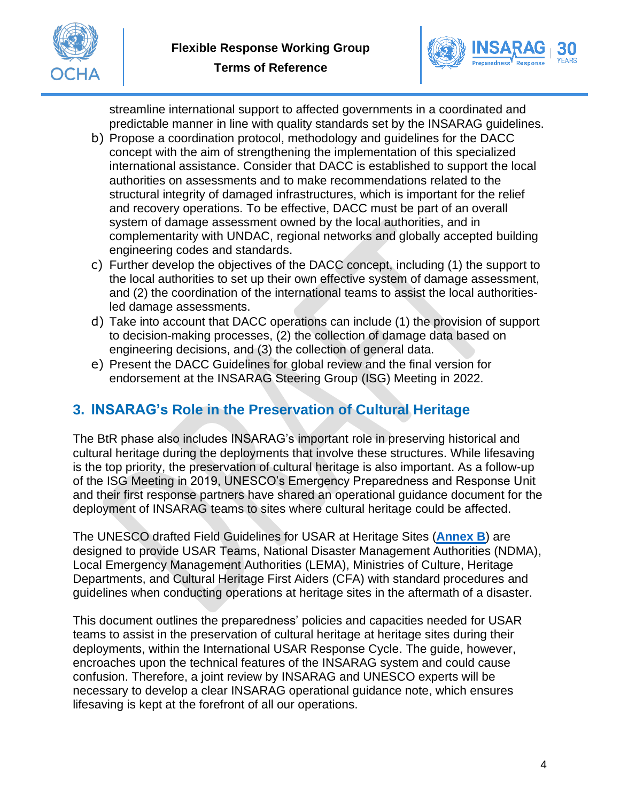



streamline international support to affected governments in a coordinated and predictable manner in line with quality standards set by the INSARAG guidelines.

- b) Propose a coordination protocol, methodology and guidelines for the DACC concept with the aim of strengthening the implementation of this specialized international assistance. Consider that DACC is established to support the local authorities on assessments and to make recommendations related to the structural integrity of damaged infrastructures, which is important for the relief and recovery operations. To be effective, DACC must be part of an overall system of damage assessment owned by the local authorities, and in complementarity with UNDAC, regional networks and globally accepted building engineering codes and standards.
- c) Further develop the objectives of the DACC concept, including (1) the support to the local authorities to set up their own effective system of damage assessment, and (2) the coordination of the international teams to assist the local authoritiesled damage assessments.
- d) Take into account that DACC operations can include (1) the provision of support to decision-making processes, (2) the collection of damage data based on engineering decisions, and (3) the collection of general data.
- e) Present the DACC Guidelines for global review and the final version for endorsement at the INSARAG Steering Group (ISG) Meeting in 2022.

### **3. INSARAG's Role in the Preservation of Cultural Heritage**

The BtR phase also includes INSARAG's important role in preserving historical and cultural heritage during the deployments that involve these structures. While lifesaving is the top priority, the preservation of cultural heritage is also important. As a follow-up of the ISG Meeting in 2019, UNESCO's Emergency Preparedness and Response Unit and their first response partners have shared an operational guidance document for the deployment of INSARAG teams to sites where cultural heritage could be affected.

The UNESCO drafted Field Guidelines for USAR at Heritage Sites (**[Annex B](http://portal.undac.org/pssuportal/portalrest/filesharing/download/public/zPtF06kHPMgLEcs)**) are designed to provide USAR Teams, National Disaster Management Authorities (NDMA), Local Emergency Management Authorities (LEMA), Ministries of Culture, Heritage Departments, and Cultural Heritage First Aiders (CFA) with standard procedures and guidelines when conducting operations at heritage sites in the aftermath of a disaster.

This document outlines the preparedness' policies and capacities needed for USAR teams to assist in the preservation of cultural heritage at heritage sites during their deployments, within the International USAR Response Cycle. The guide, however, encroaches upon the technical features of the INSARAG system and could cause confusion. Therefore, a joint review by INSARAG and UNESCO experts will be necessary to develop a clear INSARAG operational guidance note, which ensures lifesaving is kept at the forefront of all our operations.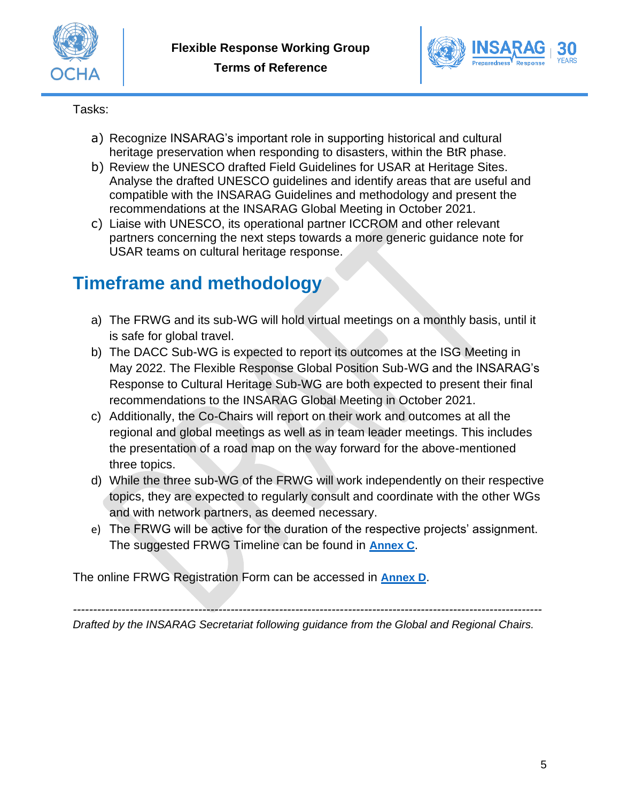



Tasks:

- a) Recognize INSARAG's important role in supporting historical and cultural heritage preservation when responding to disasters, within the BtR phase.
- b) Review the UNESCO drafted Field Guidelines for USAR at Heritage Sites. Analyse the drafted UNESCO guidelines and identify areas that are useful and compatible with the INSARAG Guidelines and methodology and present the recommendations at the INSARAG Global Meeting in October 2021.
- c) Liaise with UNESCO, its operational partner ICCROM and other relevant partners concerning the next steps towards a more generic guidance note for USAR teams on cultural heritage response.

# **Timeframe and methodology**

- a) The FRWG and its sub-WG will hold virtual meetings on a monthly basis, until it is safe for global travel.
- b) The DACC Sub-WG is expected to report its outcomes at the ISG Meeting in May 2022. The Flexible Response Global Position Sub-WG and the INSARAG's Response to Cultural Heritage Sub-WG are both expected to present their final recommendations to the INSARAG Global Meeting in October 2021.
- c) Additionally, the Co-Chairs will report on their work and outcomes at all the regional and global meetings as well as in team leader meetings. This includes the presentation of a road map on the way forward for the above-mentioned three topics.
- d) While the three sub-WG of the FRWG will work independently on their respective topics, they are expected to regularly consult and coordinate with the other WGs and with network partners, as deemed necessary.
- e) The FRWG will be active for the duration of the respective projects' assignment. The suggested FRWG Timeline can be found in **[Annex C](http://portal.undac.org/pssuportal/portalrest/filesharing/download/public/fpAJUjhUVFWZjVr)**.

The online FRWG Registration Form can be accessed in **[Annex D](http://portal.undac.org/pssuportal/portalrest/filesharing/download/public/xr2ZtzA2LrsSaim)**.

*--------------------------------------------------------------------------------------------------------------------*

*Drafted by the INSARAG Secretariat following guidance from the Global and Regional Chairs.*